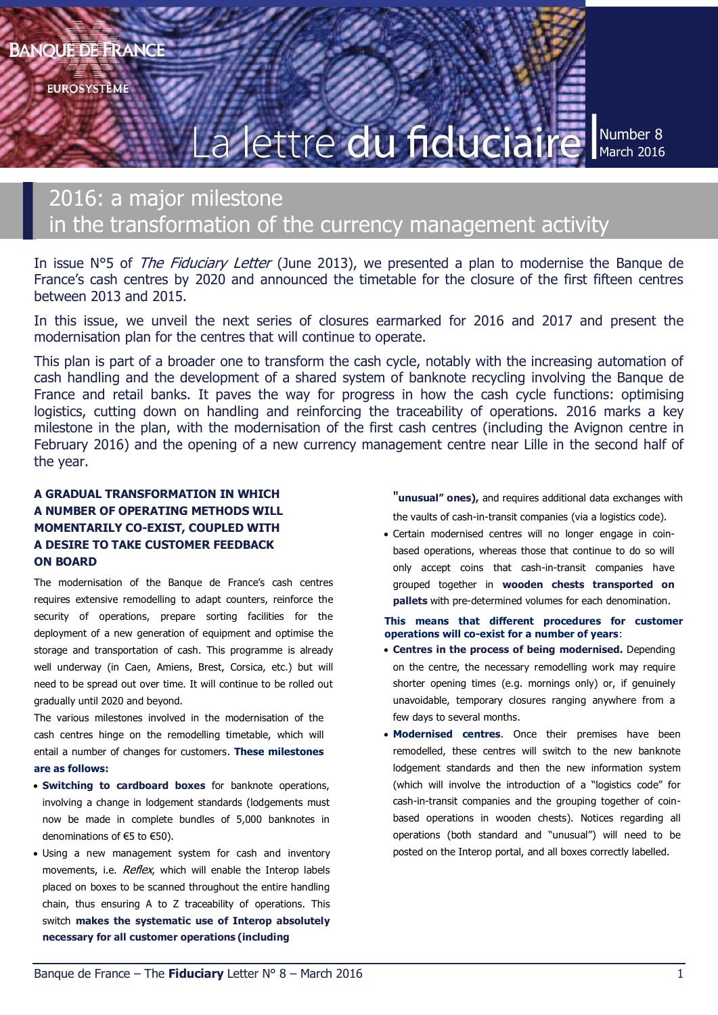**EUROSYSTÈME** 

# La lettre du fiduciaire

Number 8 March 2016

# 2016: a major milestone in the transformation of the currency management activity

In issue N°5 of *The Fiduciary Letter* (June 2013), we presented a plan to modernise the Banque de France's cash centres by 2020 and announced the timetable for the closure of the first fifteen centres between 2013 and 2015.

In this issue, we unveil the next series of closures earmarked for 2016 and 2017 and present the modernisation plan for the centres that will continue to operate.

This plan is part of a broader one to transform the cash cycle, notably with the increasing automation of cash handling and the development of a shared system of banknote recycling involving the Banque de France and retail banks. It paves the way for progress in how the cash cycle functions: optimising logistics, cutting down on handling and reinforcing the traceability of operations. 2016 marks a key milestone in the plan, with the modernisation of the first cash centres (including the Avignon centre in February 2016) and the opening of a new currency management centre near Lille in the second half of the year.

# **A GRADUAL TRANSFORMATION IN WHICH A NUMBER OF OPERATING METHODS WILL MOMENTARILY CO-EXIST, COUPLED WITH A DESIRE TO TAKE CUSTOMER FEEDBACK ON BOARD**

The modernisation of the Banque de France's cash centres requires extensive remodelling to adapt counters, reinforce the security of operations, prepare sorting facilities for the deployment of a new generation of equipment and optimise the storage and transportation of cash. This programme is already well underway (in Caen, Amiens, Brest, Corsica, etc.) but will need to be spread out over time. It will continue to be rolled out gradually until 2020 and beyond.

The various milestones involved in the modernisation of the cash centres hinge on the remodelling timetable, which will entail a number of changes for customers. **These milestones are as follows:**

- **Switching to cardboard boxes** for banknote operations, involving a change in lodgement standards (lodgements must now be made in complete bundles of 5,000 banknotes in denominations of €5 to €50).
- Using a new management system for cash and inventory movements, i.e. *Reflex*, which will enable the Interop labels placed on boxes to be scanned throughout the entire handling chain, thus ensuring A to Z traceability of operations. This switch **makes the systematic use of Interop absolutely necessary for all customer operations (including**

"**unusual" ones),** and requires additional data exchanges with the vaults of cash-in-transit companies (via a logistics code).

 Certain modernised centres will no longer engage in coinbased operations, whereas those that continue to do so will only accept coins that cash-in-transit companies have grouped together in **wooden chests transported on pallets** with pre-determined volumes for each denomination.

#### **This means that different procedures for customer operations will co-exist for a number of years**:

- **Centres in the process of being modernised.** Depending on the centre, the necessary remodelling work may require shorter opening times (e.g. mornings only) or, if genuinely unavoidable, temporary closures ranging anywhere from a few days to several months.
- **Modernised centres**. Once their premises have been remodelled, these centres will switch to the new banknote lodgement standards and then the new information system (which will involve the introduction of a "logistics code" for cash-in-transit companies and the grouping together of coinbased operations in wooden chests). Notices regarding all operations (both standard and "unusual") will need to be posted on the Interop portal, and all boxes correctly labelled.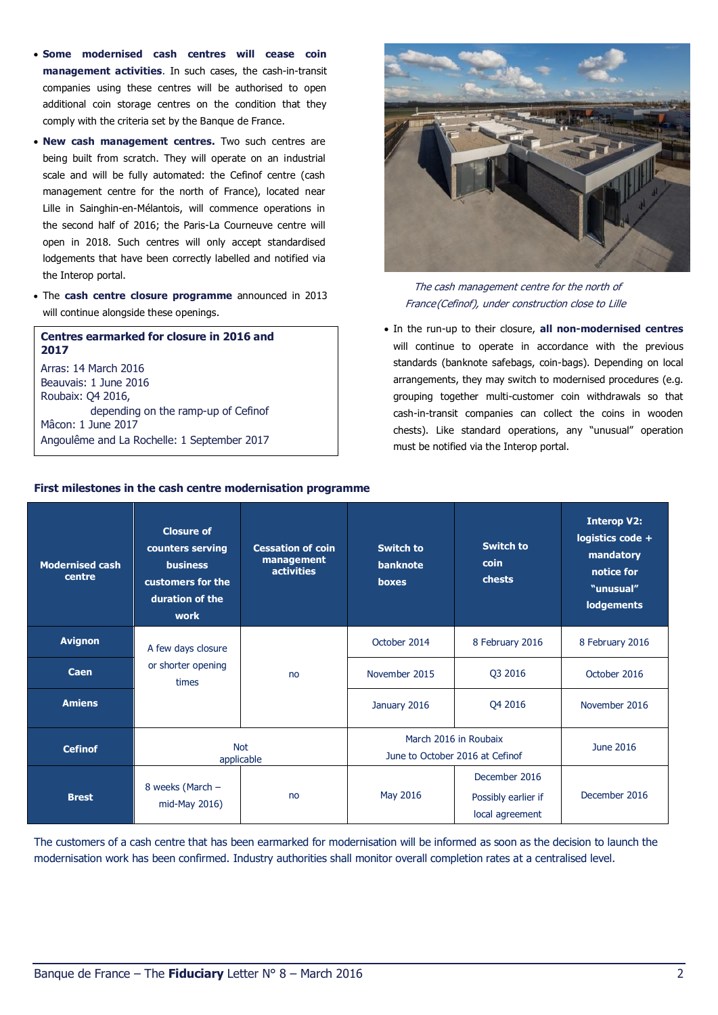- **Some modernised cash centres will cease coin management activities**. In such cases, the cash-in-transit companies using these centres will be authorised to open additional coin storage centres on the condition that they comply with the criteria set by the Banque de France.
- **New cash management centres.** Two such centres are being built from scratch. They will operate on an industrial scale and will be fully automated: the Cefinof centre (cash management centre for the north of France), located near Lille in Sainghin-en-Mélantois, will commence operations in the second half of 2016; the Paris-La Courneuve centre will open in 2018. Such centres will only accept standardised lodgements that have been correctly labelled and notified via the Interop portal.
- The **cash centre closure programme** announced in 2013 will continue alongside these openings.

**Centres earmarked for closure in 2016 and 2017** Arras: 14 March 2016 Beauvais: 1 June 2016 Roubaix: Q4 2016, depending on the ramp-up of Cefinof Mâcon: 1 June 2017 Angoulême and La Rochelle: 1 September 2017



The cash management centre for the north of France(Cefinof), under construction close to Lille

 In the run-up to their closure, **all non-modernised centres**  will continue to operate in accordance with the previous standards (banknote safebags, coin-bags). Depending on local arrangements, they may switch to modernised procedures (e.g. grouping together multi-customer coin withdrawals so that cash-in-transit companies can collect the coins in wooden chests). Like standard operations, any "unusual" operation must be notified via the Interop portal.

| <b>Modernised cash</b><br>centre | <b>Closure of</b><br>counters serving<br><b>business</b><br>customers for the<br>duration of the<br>work | <b>Cessation of coin</b><br>management<br><b>activities</b> | <b>Switch to</b><br><b>banknote</b><br>boxes             | Switch to<br>coin<br>chests                             | <b>Interop V2:</b><br>logistics code +<br>mandatory<br>notice for<br>"unusual"<br><b>lodgements</b> |
|----------------------------------|----------------------------------------------------------------------------------------------------------|-------------------------------------------------------------|----------------------------------------------------------|---------------------------------------------------------|-----------------------------------------------------------------------------------------------------|
| <b>Avignon</b>                   | A few days closure                                                                                       | no                                                          | October 2014                                             | 8 February 2016                                         | 8 February 2016                                                                                     |
| Caen                             | or shorter opening<br>times                                                                              |                                                             | November 2015                                            | Q3 2016                                                 | October 2016                                                                                        |
| <b>Amiens</b>                    |                                                                                                          |                                                             | January 2016                                             | Q4 2016                                                 | November 2016                                                                                       |
| <b>Cefinof</b>                   | <b>Not</b><br>applicable                                                                                 |                                                             | March 2016 in Roubaix<br>June to October 2016 at Cefinof | June 2016                                               |                                                                                                     |
| <b>Brest</b>                     | 8 weeks (March -<br>no<br>mid-May 2016)                                                                  |                                                             | May 2016                                                 | December 2016<br>Possibly earlier if<br>local agreement | December 2016                                                                                       |

**First milestones in the cash centre modernisation programme**

The customers of a cash centre that has been earmarked for modernisation will be informed as soon as the decision to launch the modernisation work has been confirmed. Industry authorities shall monitor overall completion rates at a centralised level.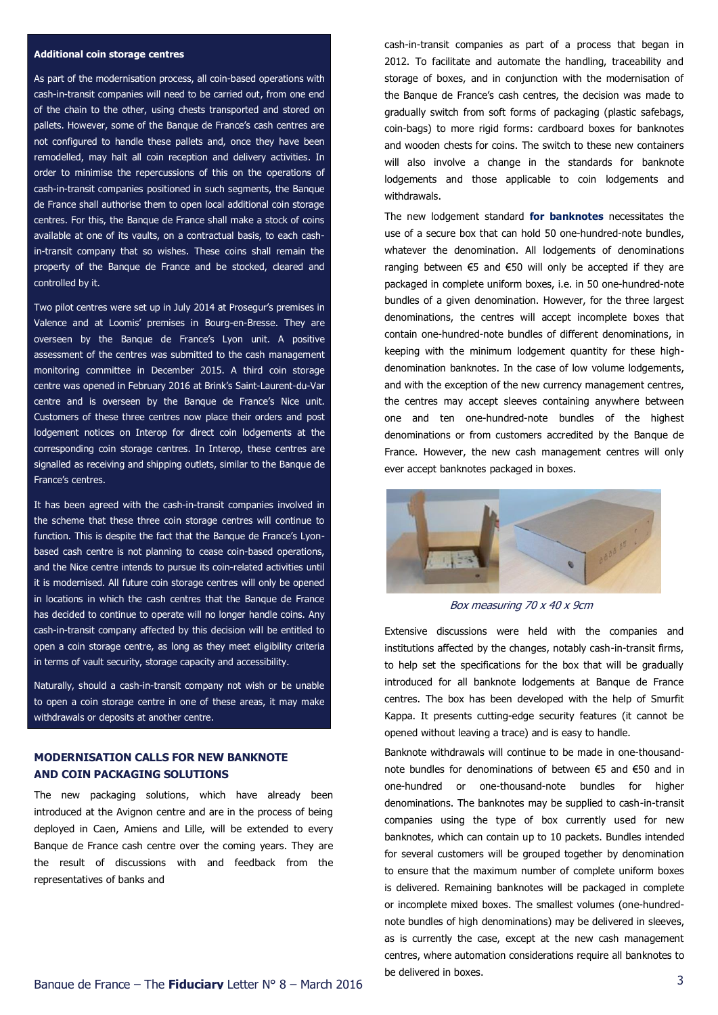#### **Additional coin storage centres**

As part of the modernisation process, all coin-based operations with cash-in-transit companies will need to be carried out, from one end of the chain to the other, using chests transported and stored on pallets. However, some of the Banque de France's cash centres are not configured to handle these pallets and, once they have been remodelled, may halt all coin reception and delivery activities. In order to minimise the repercussions of this on the operations of cash-in-transit companies positioned in such segments, the Banque de France shall authorise them to open local additional coin storage centres. For this, the Banque de France shall make a stock of coins available at one of its vaults, on a contractual basis, to each cashin-transit company that so wishes. These coins shall remain the property of the Banque de France and be stocked, cleared and controlled by it.

Two pilot centres were set up in July 2014 at Prosegur's premises in Valence and at Loomis' premises in Bourg-en-Bresse. They are overseen by the Banque de France's Lyon unit. A positive assessment of the centres was submitted to the cash management monitoring committee in December 2015. A third coin storage centre was opened in February 2016 at Brink's Saint-Laurent-du-Var centre and is overseen by the Banque de France's Nice unit. Customers of these three centres now place their orders and post lodgement notices on Interop for direct coin lodgements at the corresponding coin storage centres. In Interop, these centres are signalled as receiving and shipping outlets, similar to the Banque de France's centres.

It has been agreed with the cash-in-transit companies involved in the scheme that these three coin storage centres will continue to function. This is despite the fact that the Banque de France's Lyonbased cash centre is not planning to cease coin-based operations, and the Nice centre intends to pursue its coin-related activities until it is modernised. All future coin storage centres will only be opened in locations in which the cash centres that the Banque de France has decided to continue to operate will no longer handle coins. Any cash-in-transit company affected by this decision will be entitled to open a coin storage centre, as long as they meet eligibility criteria in terms of vault security, storage capacity and accessibility.

Naturally, should a cash-in-transit company not wish or be unable to open a coin storage centre in one of these areas, it may make withdrawals or deposits at another centre.

### **MODERNISATION CALLS FOR NEW BANKNOTE AND COIN PACKAGING SOLUTIONS**

The new packaging solutions, which have already been introduced at the Avignon centre and are in the process of being deployed in Caen, Amiens and Lille, will be extended to every Banque de France cash centre over the coming years. They are the result of discussions with and feedback from the representatives of banks and

cash-in-transit companies as part of a process that began in 2012. To facilitate and automate the handling, traceability and storage of boxes, and in conjunction with the modernisation of the Banque de France's cash centres, the decision was made to gradually switch from soft forms of packaging (plastic safebags, coin-bags) to more rigid forms: cardboard boxes for banknotes and wooden chests for coins. The switch to these new containers will also involve a change in the standards for banknote lodgements and those applicable to coin lodgements and withdrawals.

The new lodgement standard **for banknotes** necessitates the use of a secure box that can hold 50 one-hundred-note bundles, whatever the denomination. All lodgements of denominations ranging between €5 and €50 will only be accepted if they are packaged in complete uniform boxes, i.e. in 50 one-hundred-note bundles of a given denomination. However, for the three largest denominations, the centres will accept incomplete boxes that contain one-hundred-note bundles of different denominations, in keeping with the minimum lodgement quantity for these highdenomination banknotes. In the case of low volume lodgements, and with the exception of the new currency management centres, the centres may accept sleeves containing anywhere between one and ten one-hundred-note bundles of the highest denominations or from customers accredited by the Banque de France. However, the new cash management centres will only ever accept banknotes packaged in boxes.



Box measuring 70 x 40 x 9cm

Extensive discussions were held with the companies and institutions affected by the changes, notably cash-in-transit firms, to help set the specifications for the box that will be gradually introduced for all banknote lodgements at Banque de France centres. The box has been developed with the help of Smurfit Kappa. It presents cutting-edge security features (it cannot be opened without leaving a trace) and is easy to handle.

Banknote withdrawals will continue to be made in one-thousandnote bundles for denominations of between €5 and €50 and in one-hundred or one-thousand-note bundles for higher denominations. The banknotes may be supplied to cash-in-transit companies using the type of box currently used for new banknotes, which can contain up to 10 packets. Bundles intended for several customers will be grouped together by denomination to ensure that the maximum number of complete uniform boxes is delivered. Remaining banknotes will be packaged in complete or incomplete mixed boxes. The smallest volumes (one-hundrednote bundles of high denominations) may be delivered in sleeves, as is currently the case, except at the new cash management centres, where automation considerations require all banknotes to be delivered in boxes.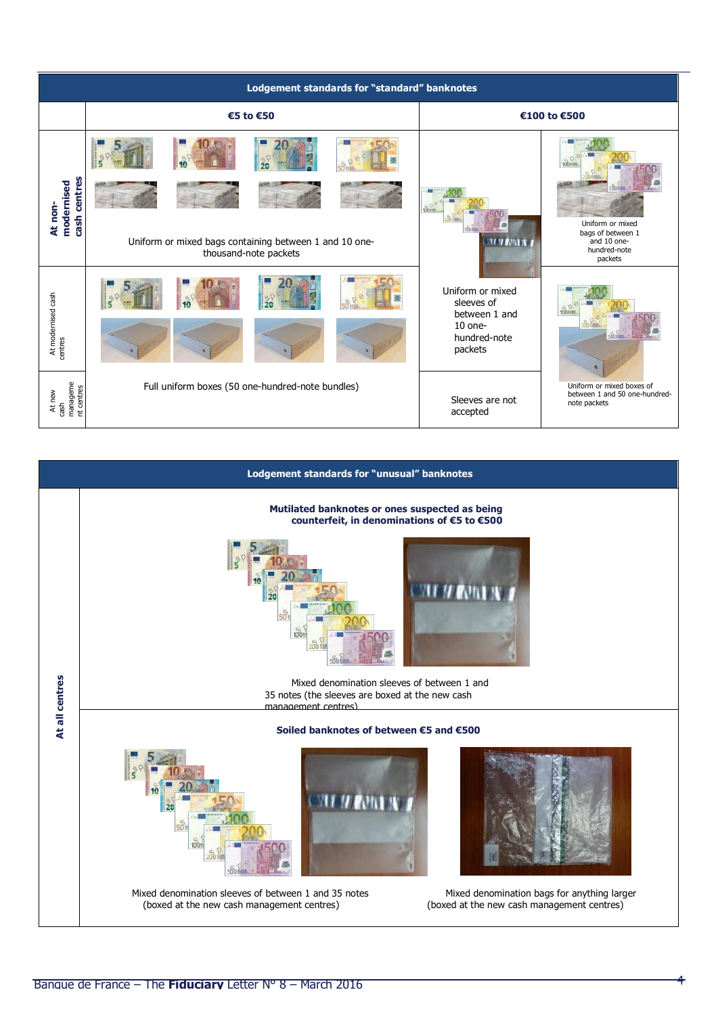| Lodgement standards for "standard" banknotes |                                                                                 |                                                                                                           |  |  |  |  |  |  |  |
|----------------------------------------------|---------------------------------------------------------------------------------|-----------------------------------------------------------------------------------------------------------|--|--|--|--|--|--|--|
|                                              | €5 to €50                                                                       | €100 to €500                                                                                              |  |  |  |  |  |  |  |
|                                              |                                                                                 |                                                                                                           |  |  |  |  |  |  |  |
| cash centres<br>modernised<br>At non-        |                                                                                 | <b>100<sup>th</sup></b><br>Uniform or mixed                                                               |  |  |  |  |  |  |  |
|                                              | Uniform or mixed bags containing between 1 and 10 one-<br>thousand-note packets | bags of between 1<br>and 10 one-<br>hundred-note<br>packets                                               |  |  |  |  |  |  |  |
|                                              |                                                                                 | Uniform or mixed<br>sleeves of<br>between 1 and                                                           |  |  |  |  |  |  |  |
| At modernised cash<br>centres                |                                                                                 | $10$ one-<br>hundred-note<br>packets                                                                      |  |  |  |  |  |  |  |
| manageme<br>nt centres<br>At new<br>cash     | Full uniform boxes (50 one-hundred-note bundles)                                | Uniform or mixed boxes of<br>between 1 and 50 one-hundred-<br>Sleeves are not<br>note packets<br>accepted |  |  |  |  |  |  |  |

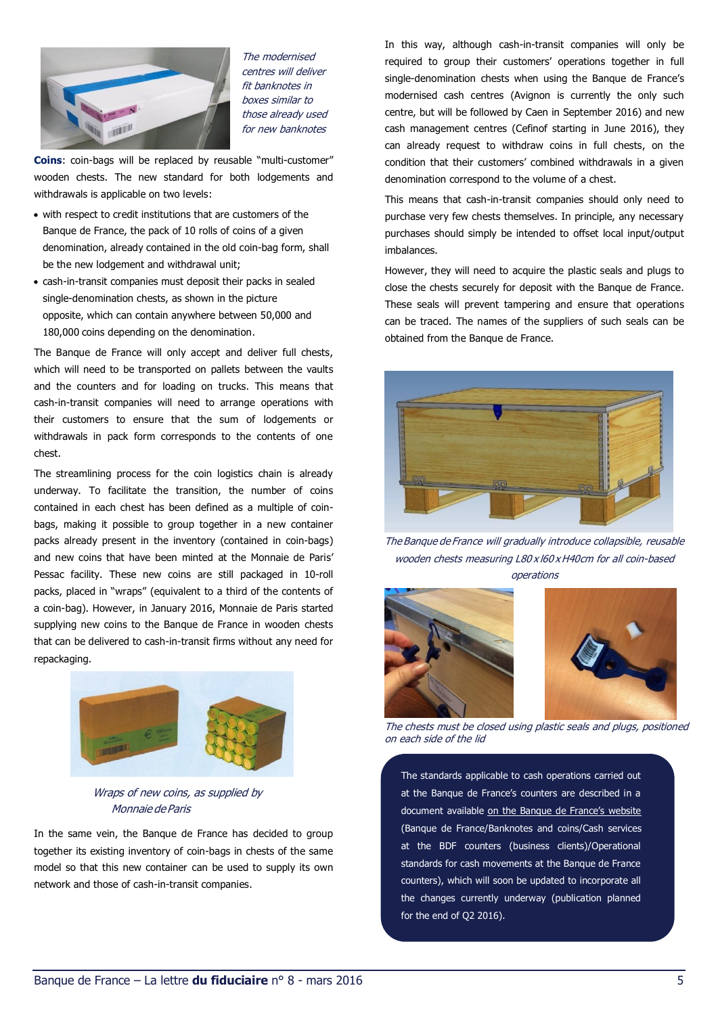

The modernised centres will deliver fit banknotes in boxes similar to those already used for new banknotes

**Coins**: coin-bags will be replaced by reusable "multi-customer" wooden chests. The new standard for both lodgements and withdrawals is applicable on two levels:

- with respect to credit institutions that are customers of the Banque de France, the pack of 10 rolls of coins of a given denomination, already contained in the old coin-bag form, shall be the new lodgement and withdrawal unit;
- cash-in-transit companies must deposit their packs in sealed single-denomination chests, as shown in the picture opposite, which can contain anywhere between 50,000 and 180,000 coins depending on the denomination.

The Banque de France will only accept and deliver full chests, which will need to be transported on pallets between the vaults and the counters and for loading on trucks. This means that cash-in-transit companies will need to arrange operations with their customers to ensure that the sum of lodgements or withdrawals in pack form corresponds to the contents of one chest.

The streamlining process for the coin logistics chain is already underway. To facilitate the transition, the number of coins contained in each chest has been defined as a multiple of coinbags, making it possible to group together in a new container packs already present in the inventory (contained in coin-bags) and new coins that have been minted at the Monnaie de Paris' Pessac facility. These new coins are still packaged in 10-roll packs, placed in "wraps" (equivalent to a third of the contents of a coin-bag). However, in January 2016, Monnaie de Paris started supplying new coins to the Banque de France in wooden chests that can be delivered to cash-in-transit firms without any need for repackaging.



Wraps of new coins, as supplied by Monnaie deParis

In the same vein, the Banque de France has decided to group together its existing inventory of coin-bags in chests of the same model so that this new container can be used to supply its own network and those of cash-in-transit companies.

In this way, although cash-in-transit companies will only be required to group their customers' operations together in full single-denomination chests when using the Banque de France's modernised cash centres (Avignon is currently the only such centre, but will be followed by Caen in September 2016) and new cash management centres (Cefinof starting in June 2016), they can already request to withdraw coins in full chests, on the condition that their customers' combined withdrawals in a given denomination correspond to the volume of a chest.

This means that cash-in-transit companies should only need to purchase very few chests themselves. In principle, any necessary purchases should simply be intended to offset local input/output imbalances.

However, they will need to acquire the plastic seals and plugs to close the chests securely for deposit with the Banque de France. These seals will prevent tampering and ensure that operations can be traced. The names of the suppliers of such seals can be obtained from the Banque de France.



The Banque de France will gradually introduce collapsible, reusable wooden chests measuring L80 x l60 x H40cm for all coin-based operations



The chests must be closed using plastic seals and plugs, positioned on each side of the lid

The standards applicable to cash operations carried out at the Banque de France's counters are described in a document available [on the Banque de France's we](https://www.banque-france.fr/en/banque-de-france/banknotes-and-coins/cash-services-at-the-bdf-counters-business-clients.html)bsite (Banque de France/Banknotes and coins/Cash services at the BDF counters (business clients)/Operational standards for cash movements at the Banque de France counters), which will soon be updated to incorporate all the changes currently underway (publication planned for the end of Q2 2016).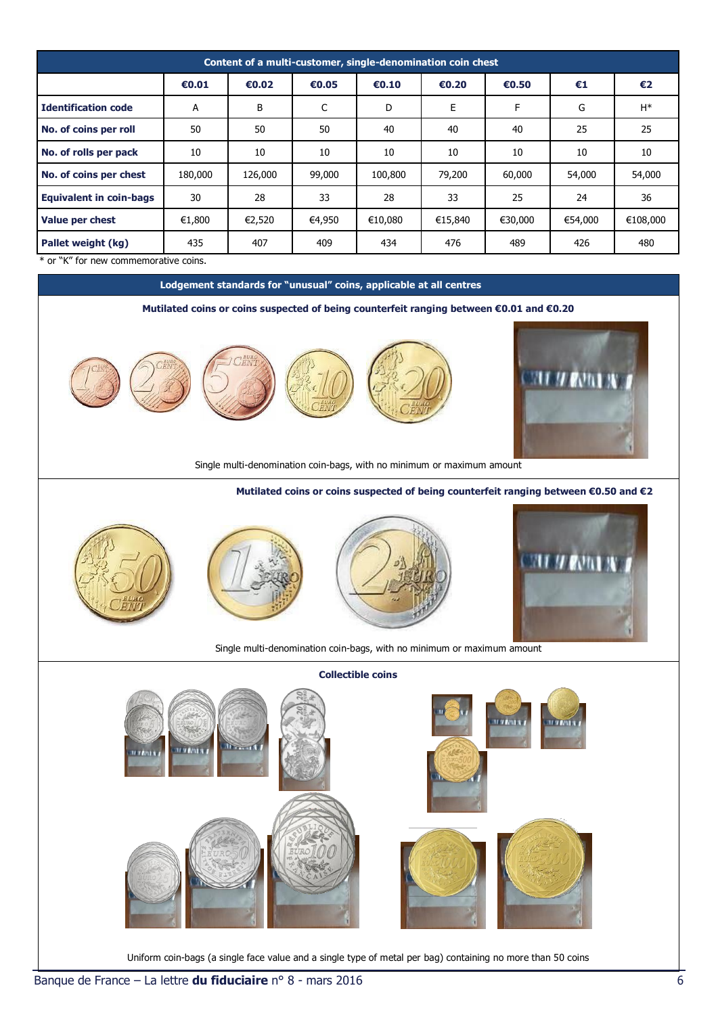| Content of a multi-customer, single-denomination coin chest |         |         |        |         |         |         |         |          |  |  |  |
|-------------------------------------------------------------|---------|---------|--------|---------|---------|---------|---------|----------|--|--|--|
|                                                             | €0.01   | €0.02   | €0.05  | €0.10   | €0.20   | €0.50   | €1      | €2       |  |  |  |
| <b>Identification code</b>                                  | A       | B       | C      | D       | E       | F       | G       | $H^*$    |  |  |  |
| No. of coins per roll                                       | 50      | 50      | 50     | 40      | 40      | 40      | 25      | 25       |  |  |  |
| No. of rolls per pack                                       | 10      | 10      | 10     | 10      | 10      | 10      | 10      | 10       |  |  |  |
| No. of coins per chest                                      | 180,000 | 126,000 | 99,000 | 100,800 | 79,200  | 60,000  | 54,000  | 54,000   |  |  |  |
| <b>Equivalent in coin-bags</b>                              | 30      | 28      | 33     | 28      | 33      | 25      | 24      | 36       |  |  |  |
| Value per chest                                             | €1,800  | €2,520  | €4,950 | €10,080 | €15,840 | €30,000 | €54,000 | €108,000 |  |  |  |
| Pallet weight (kg)<br>$\cdots$ we are a                     | 435     | 407     | 409    | 434     | 476     | 489     | 426     | 480      |  |  |  |

\* or "K" for new commemorative coins.

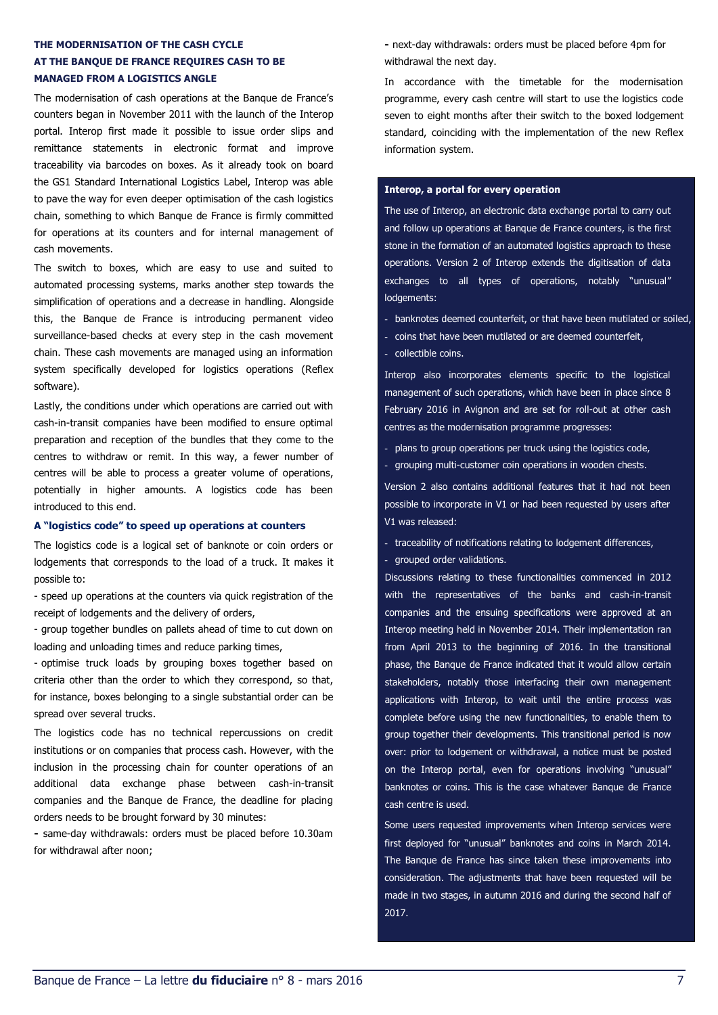# **THE MODERNISATION OF THE CASH CYCLE AT THE BANQUE DE FRANCE REQUIRES CASH TO BE MANAGED FROM A LOGISTICS ANGLE**

The modernisation of cash operations at the Banque de France's counters began in November 2011 with the launch of the Interop portal. Interop first made it possible to issue order slips and remittance statements in electronic format and improve traceability via barcodes on boxes. As it already took on board the GS1 Standard International Logistics Label, Interop was able to pave the way for even deeper optimisation of the cash logistics chain, something to which Banque de France is firmly committed for operations at its counters and for internal management of cash movements.

The switch to boxes, which are easy to use and suited to automated processing systems, marks another step towards the simplification of operations and a decrease in handling. Alongside this, the Banque de France is introducing permanent video surveillance-based checks at every step in the cash movement chain. These cash movements are managed using an information system specifically developed for logistics operations (Reflex software).

Lastly, the conditions under which operations are carried out with cash-in-transit companies have been modified to ensure optimal preparation and reception of the bundles that they come to the centres to withdraw or remit. In this way, a fewer number of centres will be able to process a greater volume of operations, potentially in higher amounts. A logistics code has been introduced to this end.

#### **A "logistics code" to speed up operations at counters**

The logistics code is a logical set of banknote or coin orders or lodgements that corresponds to the load of a truck. It makes it possible to:

- speed up operations at the counters via quick registration of the receipt of lodgements and the delivery of orders,

- group together bundles on pallets ahead of time to cut down on loading and unloading times and reduce parking times,

- optimise truck loads by grouping boxes together based on criteria other than the order to which they correspond, so that, for instance, boxes belonging to a single substantial order can be spread over several trucks.

The logistics code has no technical repercussions on credit institutions or on companies that process cash. However, with the inclusion in the processing chain for counter operations of an additional data exchange phase between cash-in-transit companies and the Banque de France, the deadline for placing orders needs to be brought forward by 30 minutes:

**-** same-day withdrawals: orders must be placed before 10.30am for withdrawal after noon;

**-** next-day withdrawals: orders must be placed before 4pm for withdrawal the next day.

In accordance with the timetable for the modernisation programme, every cash centre will start to use the logistics code seven to eight months after their switch to the boxed lodgement standard, coinciding with the implementation of the new Reflex information system.

#### **Interop, a portal for every operation**

The use of Interop, an electronic data exchange portal to carry out and follow up operations at Banque de France counters, is the first stone in the formation of an automated logistics approach to these operations. Version 2 of Interop extends the digitisation of data exchanges to all types of operations, notably "unusual" lodgements:

- banknotes deemed counterfeit, or that have been mutilated or soiled,
- coins that have been mutilated or are deemed counterfeit,
- collectible coins.

Interop also incorporates elements specific to the logistical management of such operations, which have been in place since 8 February 2016 in Avignon and are set for roll-out at other cash centres as the modernisation programme progresses:

- plans to group operations per truck using the logistics code, - grouping multi-customer coin operations in wooden chests.

Version 2 also contains additional features that it had not been possible to incorporate in V1 or had been requested by users after V1 was released:

- traceability of notifications relating to lodgement differences,
- grouped order validations.

Discussions relating to these functionalities commenced in 2012 with the representatives of the banks and cash-in-transit companies and the ensuing specifications were approved at an Interop meeting held in November 2014. Their implementation ran from April 2013 to the beginning of 2016. In the transitional phase, the Banque de France indicated that it would allow certain stakeholders, notably those interfacing their own management applications with Interop, to wait until the entire process was complete before using the new functionalities, to enable them to group together their developments. This transitional period is now over: prior to lodgement or withdrawal, a notice must be posted on the Interop portal, even for operations involving "unusual" banknotes or coins. This is the case whatever Banque de France cash centre is used.

Some users requested improvements when Interop services were first deployed for "unusual" banknotes and coins in March 2014. The Banque de France has since taken these improvements into consideration. The adjustments that have been requested will be made in two stages, in autumn 2016 and during the second half of 2017.